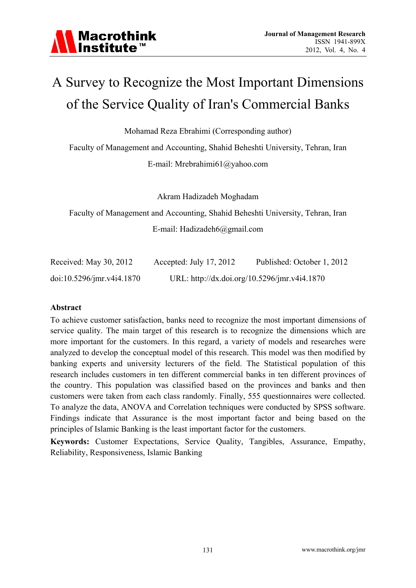

# A Survey to Recognize the Most Important Dimensions of the Service Quality of Iran's Commercial Banks

Mohamad Reza Ebrahimi (Corresponding author)

Faculty of Management and Accounting, Shahid Beheshti University, Tehran, Iran

E-mail: Mrebrahimi61@yahoo.com

Akram Hadizadeh Moghadam

Faculty of Management and Accounting, Shahid Beheshti University, Tehran, Iran E-mail: Hadizadeh6@gmail.com

| Received: May 30, 2012       | Accepted: July 17, 2012 | Published: October 1, 2012                   |
|------------------------------|-------------------------|----------------------------------------------|
| $doi:10.5296/$ jmr.v4i4.1870 |                         | URL: http://dx.doi.org/10.5296/jmr.v4i4.1870 |

#### **Abstract**

To achieve customer satisfaction, banks need to recognize the most important dimensions of service quality. The main target of this research is to recognize the dimensions which are more important for the customers. In this regard, a variety of models and researches were analyzed to develop the conceptual model of this research. This model was then modified by banking experts and university lecturers of the field. The Statistical population of this research includes customers in ten different commercial banks in ten different provinces of the country. This population was classified based on the provinces and banks and then customers were taken from each class randomly. Finally, 555 questionnaires were collected. To analyze the data, ANOVA and Correlation techniques were conducted by SPSS software. Findings indicate that Assurance is the most important factor and being based on the principles of Islamic Banking is the least important factor for the customers.

**Keywords:** Customer Expectations, Service Quality, Tangibles, Assurance, Empathy, Reliability, Responsiveness, Islamic Banking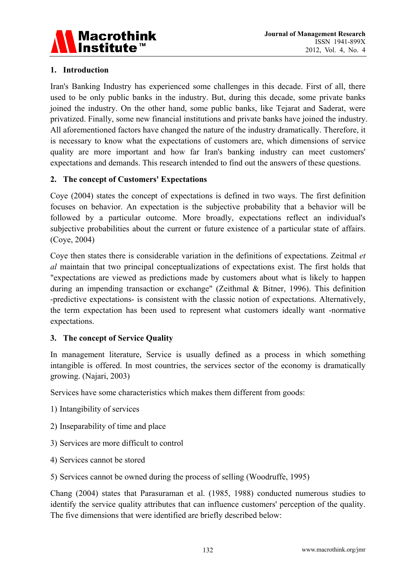

## **1. Introduction**

Iran's Banking Industry has experienced some challenges in this decade. First of all, there used to be only public banks in the industry. But, during this decade, some private banks joined the industry. On the other hand, some public banks, like Tejarat and Saderat, were privatized. Finally, some new financial institutions and private banks have joined the industry. All aforementioned factors have changed the nature of the industry dramatically. Therefore, it is necessary to know what the expectations of customers are, which dimensions of service quality are more important and how far Iran's banking industry can meet customers' expectations and demands. This research intended to find out the answers of these questions.

#### **2. The concept of Customers' Expectations**

Coye (2004) states the concept of expectations is defined in two ways. The first definition focuses on behavior. An expectation is the subjective probability that a behavior will be followed by a particular outcome. More broadly, expectations reflect an individual's subjective probabilities about the current or future existence of a particular state of affairs. (Coye, 2004)

Coye then states there is considerable variation in the definitions of expectations. Zeitmal *et al* maintain that two principal conceptualizations of expectations exist. The first holds that "expectations are viewed as predictions made by customers about what is likely to happen during an impending transaction or exchange" (Zeithmal & Bitner, 1996). This definition -predictive expectations- is consistent with the classic notion of expectations. Alternatively, the term expectation has been used to represent what customers ideally want -normative expectations.

#### **3. The concept of Service Quality**

In management literature, Service is usually defined as a process in which something intangible is offered. In most countries, the services sector of the economy is dramatically growing. (Najari, 2003)

Services have some characteristics which makes them different from goods:

- 1) Intangibility of services
- 2) Inseparability of time and place
- 3) Services are more difficult to control
- 4) Services cannot be stored
- 5) Services cannot be owned during the process of selling (Woodruffe, 1995)

Chang (2004) states that Parasuraman et al. (1985, 1988) conducted numerous studies to identify the service quality attributes that can influence customers' perception of the quality. The five dimensions that were identified are briefly described below: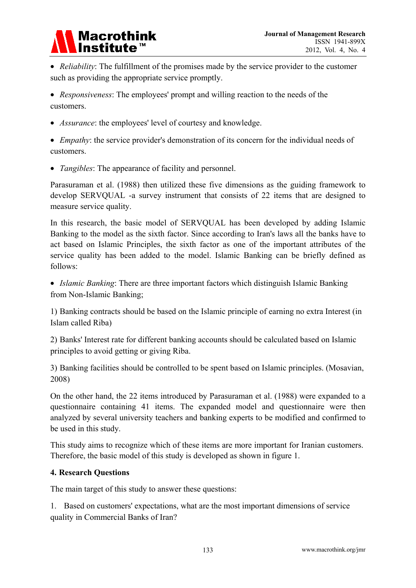

 *Reliability*: The fulfillment of the promises made by the service provider to the customer such as providing the appropriate service promptly.

 *Responsiveness*: The employees' prompt and willing reaction to the needs of the customers.

*Assurance*: the employees' level of courtesy and knowledge.

 *Empathy*: the service provider's demonstration of its concern for the individual needs of customers.

*Tangibles*: The appearance of facility and personnel.

Parasuraman et al. (1988) then utilized these five dimensions as the guiding framework to develop SERVQUAL -a survey instrument that consists of 22 items that are designed to measure service quality.

In this research, the basic model of SERVQUAL has been developed by adding Islamic Banking to the model as the sixth factor. Since according to Iran's laws all the banks have to act based on Islamic Principles, the sixth factor as one of the important attributes of the service quality has been added to the model. Islamic Banking can be briefly defined as follows:

 *Islamic Banking*: There are three important factors which distinguish Islamic Banking from Non-Islamic Banking;

1) Banking contracts should be based on the Islamic principle of earning no extra Interest (in Islam called Riba)

2) Banks' Interest rate for different banking accounts should be calculated based on Islamic principles to avoid getting or giving Riba.

3) Banking facilities should be controlled to be spent based on Islamic principles. (Mosavian, 2008)

On the other hand, the 22 items introduced by Parasuraman et al. (1988) were expanded to a questionnaire containing 41 items. The expanded model and questionnaire were then analyzed by several university teachers and banking experts to be modified and confirmed to be used in this study.

This study aims to recognize which of these items are more important for Iranian customers. Therefore, the basic model of this study is developed as shown in figure 1.

# **4. Research Questions**

The main target of this study to answer these questions:

1. Based on customers' expectations, what are the most important dimensions of service quality in Commercial Banks of Iran?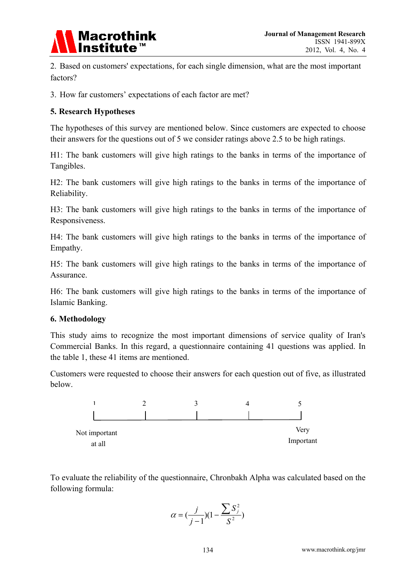

2. Based on customers' expectations, for each single dimension, what are the most important factors?

3. How far customers' expectations of each factor are met?

#### **5. Research Hypotheses**

The hypotheses of this survey are mentioned below. Since customers are expected to choose their answers for the questions out of 5 we consider ratings above 2.5 to be high ratings.

H1: The bank customers will give high ratings to the banks in terms of the importance of Tangibles.

H2: The bank customers will give high ratings to the banks in terms of the importance of Reliability.

H3: The bank customers will give high ratings to the banks in terms of the importance of Responsiveness.

H4: The bank customers will give high ratings to the banks in terms of the importance of Empathy.

H5: The bank customers will give high ratings to the banks in terms of the importance of Assurance.

H6: The bank customers will give high ratings to the banks in terms of the importance of Islamic Banking.

#### **6. Methodology**

This study aims to recognize the most important dimensions of service quality of Iran's Commercial Banks. In this regard, a questionnaire containing 41 questions was applied. In the table 1, these 41 items are mentioned.

Customers were requested to choose their answers for each question out of five, as illustrated below.



To evaluate the reliability of the questionnaire, Chronbakh Alpha was calculated based on the following formula:

$$
\alpha = (\frac{j}{j-1})(1 - \frac{\sum S_j^2}{S^2})
$$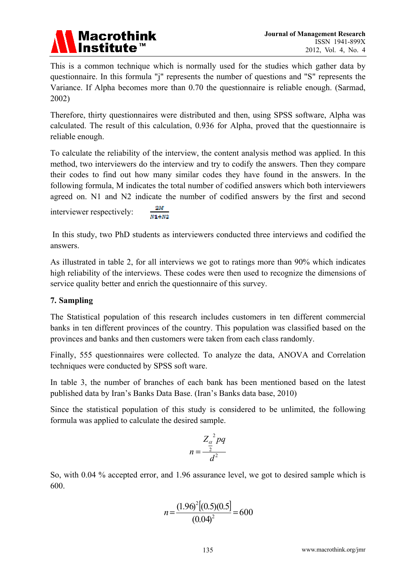

This is a common technique which is normally used for the studies which gather data by questionnaire. In this formula "j" represents the number of questions and "S" represents the Variance. If Alpha becomes more than 0.70 the questionnaire is reliable enough. (Sarmad, 2002)

Therefore, thirty questionnaires were distributed and then, using SPSS software, Alpha was calculated. The result of this calculation, 0.936 for Alpha, proved that the questionnaire is reliable enough.

To calculate the reliability of the interview, the content analysis method was applied. In this method, two interviewers do the interview and try to codify the answers. Then they compare their codes to find out how many similar codes they have found in the answers. In the following formula, M indicates the total number of codified answers which both interviewers agreed on. N1 and N2 indicate the number of codified answers by the first and second

interviewer respectively:  $\frac{100}{N1 + N2}$ 

 In this study, two PhD students as interviewers conducted three interviews and codified the answers.

As illustrated in table 2, for all interviews we got to ratings more than 90% which indicates high reliability of the interviews. These codes were then used to recognize the dimensions of service quality better and enrich the questionnaire of this survey.

# **7. Sampling**

The Statistical population of this research includes customers in ten different commercial banks in ten different provinces of the country. This population was classified based on the provinces and banks and then customers were taken from each class randomly.

Finally, 555 questionnaires were collected. To analyze the data, ANOVA and Correlation techniques were conducted by SPSS soft ware.

In table 3, the number of branches of each bank has been mentioned based on the latest published data by Iran's Banks Data Base. (Iran's Banks data base, 2010)

Since the statistical population of this study is considered to be unlimited, the following formula was applied to calculate the desired sample.

$$
n = \frac{Z_{\frac{\alpha}{2}}^2 pq}{d^2}
$$

So, with 0.04 % accepted error, and 1.96 assurance level, we got to desired sample which is 600.

$$
n = \frac{(1.96)^2[(0.5)(0.5)]}{(0.04)^2} = 600
$$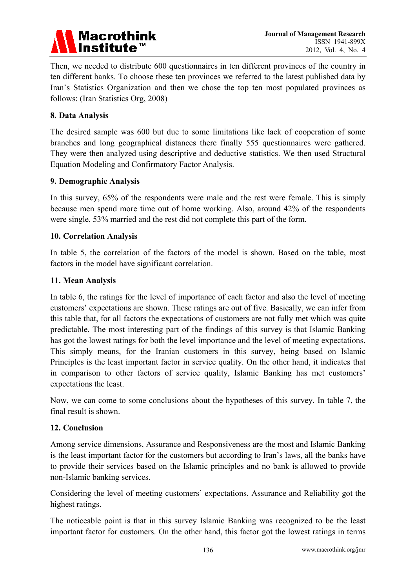

Then, we needed to distribute 600 questionnaires in ten different provinces of the country in ten different banks. To choose these ten provinces we referred to the latest published data by Iran's Statistics Organization and then we chose the top ten most populated provinces as follows: (Iran Statistics Org, 2008)

#### **8. Data Analysis**

The desired sample was 600 but due to some limitations like lack of cooperation of some branches and long geographical distances there finally 555 questionnaires were gathered. They were then analyzed using descriptive and deductive statistics. We then used Structural Equation Modeling and Confirmatory Factor Analysis.

#### **9. Demographic Analysis**

In this survey, 65% of the respondents were male and the rest were female. This is simply because men spend more time out of home working. Also, around 42% of the respondents were single, 53% married and the rest did not complete this part of the form.

#### **10. Correlation Analysis**

In table 5, the correlation of the factors of the model is shown. Based on the table, most factors in the model have significant correlation.

#### **11. Mean Analysis**

In table 6, the ratings for the level of importance of each factor and also the level of meeting customers' expectations are shown. These ratings are out of five. Basically, we can infer from this table that, for all factors the expectations of customers are not fully met which was quite predictable. The most interesting part of the findings of this survey is that Islamic Banking has got the lowest ratings for both the level importance and the level of meeting expectations. This simply means, for the Iranian customers in this survey, being based on Islamic Principles is the least important factor in service quality. On the other hand, it indicates that in comparison to other factors of service quality, Islamic Banking has met customers' expectations the least.

Now, we can come to some conclusions about the hypotheses of this survey. In table 7, the final result is shown.

#### **12. Conclusion**

Among service dimensions, Assurance and Responsiveness are the most and Islamic Banking is the least important factor for the customers but according to Iran's laws, all the banks have to provide their services based on the Islamic principles and no bank is allowed to provide non-Islamic banking services.

Considering the level of meeting customers' expectations, Assurance and Reliability got the highest ratings.

The noticeable point is that in this survey Islamic Banking was recognized to be the least important factor for customers. On the other hand, this factor got the lowest ratings in terms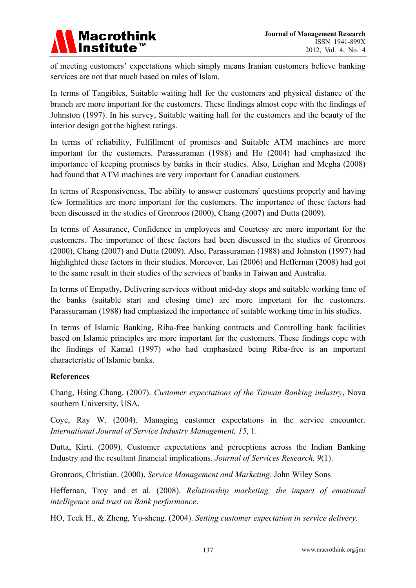

of meeting customers' expectations which simply means Iranian customers believe banking services are not that much based on rules of Islam.

In terms of Tangibles, Suitable waiting hall for the customers and physical distance of the branch are more important for the customers. These findings almost cope with the findings of Johnston (1997). In his survey, Suitable waiting hall for the customers and the beauty of the interior design got the highest ratings.

In terms of reliability, Fulfillment of promises and Suitable ATM machines are more important for the customers. Parassuraman (1988) and Ho (2004) had emphasized the importance of keeping promises by banks in their studies. Also, Leighan and Megha (2008) had found that ATM machines are very important for Canadian customers.

In terms of Responsiveness, The ability to answer customers' questions properly and having few formalities are more important for the customers. The importance of these factors had been discussed in the studies of Gronroos (2000), Chang (2007) and Dutta (2009).

In terms of Assurance, Confidence in employees and Courtesy are more important for the customers. The importance of these factors had been discussed in the studies of Gronroos (2000), Chang (2007) and Dutta (2009). Also, Parassuraman (1988) and Johnston (1997) had highlighted these factors in their studies. Moreover, Lai (2006) and Heffernan (2008) had got to the same result in their studies of the services of banks in Taiwan and Australia.

In terms of Empathy, Delivering services without mid-day stops and suitable working time of the banks (suitable start and closing time) are more important for the customers. Parassuraman (1988) had emphasized the importance of suitable working time in his studies.

In terms of Islamic Banking, Riba-free banking contracts and Controlling bank facilities based on Islamic principles are more important for the customers. These findings cope with the findings of Kamal (1997) who had emphasized being Riba-free is an important characteristic of Islamic banks.

#### **References**

Chang, Hsing Chang. (2007). *Customer expectations of the Taiwan Banking industry*, Nova southern University, USA.

Coye, Ray W. (2004). Managing customer expectations in the service encounter. *International Journal of Service Industry Management, 15*, 1.

Dutta, Kirti. (2009). Customer expectations and perceptions across the Indian Banking Industry and the resultant financial implications. *Journal of Services Research, 9*(1).

Gronroos, Christian. (2000). *Service Management and Marketing*. John Wiley Sons

Heffernan, Troy and et al. (2008). *Relationship marketing, the impact of emotional intelligence and trust on Bank performance*.

HO, Teck H., & Zheng, Yu-sheng. (2004). *Setting customer expectation in service delivery.*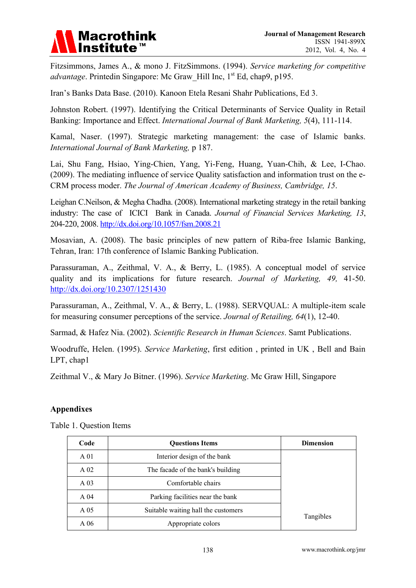

Fitzsimmons, James A., & mono J. FitzSimmons. (1994). *Service marketing for competitive advantage*. Printedin Singapore: Mc Graw Hill Inc, 1<sup>st</sup> Ed, chap9, p195.

Iran's Banks Data Base. (2010). Kanoon Etela Resani Shahr Publications, Ed 3.

Johnston Robert. (1997). Identifying the Critical Determinants of Service Quality in Retail Banking: Importance and Effect. *International Journal of Bank Marketing, 5*(4), 111-114.

Kamal, Naser. (1997). Strategic marketing management: the case of Islamic banks. *International Journal of Bank Marketing,* p 187.

Lai, Shu Fang, Hsiao, Ying-Chien, Yang, Yi-Feng, Huang, Yuan-Chih, & Lee, I-Chao. (2009). The mediating influence of service Quality satisfaction and information trust on the e-CRM process moder. *The Journal of American Academy of Business, Cambridge, 15*.

Leighan C.Neilson, & Megha Chadha. (2008). International marketing strategy in the retail banking industry: The case of ICICI Bank in Canada. *Journal of Financial Services Marketing, 13*, 204-220, 2008. http://dx.doi.org/10.1057/fsm.2008.21

Mosavian, A. (2008). The basic principles of new pattern of Riba-free Islamic Banking, Tehran, Iran: 17th conference of Islamic Banking Publication.

Parassuraman, A., Zeithmal, V. A., & Berry, L. (1985). A conceptual model of service quality and its implications for future research. *Journal of Marketing, 49,* 41-50. http://dx.doi.org/10.2307/1251430

Parassuraman, A., Zeithmal, V. A., & Berry, L. (1988). SERVQUAL: A multiple-item scale for measuring consumer perceptions of the service. *Journal of Retailing, 64*(1), 12-40.

Sarmad, & Hafez Nia. (2002). *Scientific Research in Human Sciences*. Samt Publications.

Woodruffe, Helen. (1995). *Service Marketing*, first edition , printed in UK , Bell and Bain LPT, chap1

Zeithmal V., & Mary Jo Bitner. (1996). *Service Marketing*. Mc Graw Hill, Singapore

#### **Appendixes**

| Code            | <b>Questions Items</b>              | <b>Dimension</b> |
|-----------------|-------------------------------------|------------------|
| A <sub>01</sub> | Interior design of the bank         |                  |
| A <sub>02</sub> | The facade of the bank's building   |                  |
| A <sub>03</sub> | Comfortable chairs                  |                  |
| A <sub>04</sub> | Parking facilities near the bank    |                  |
| A 05            | Suitable waiting hall the customers |                  |
| A 06            | Appropriate colors                  | Tangibles        |

Table 1. Question Items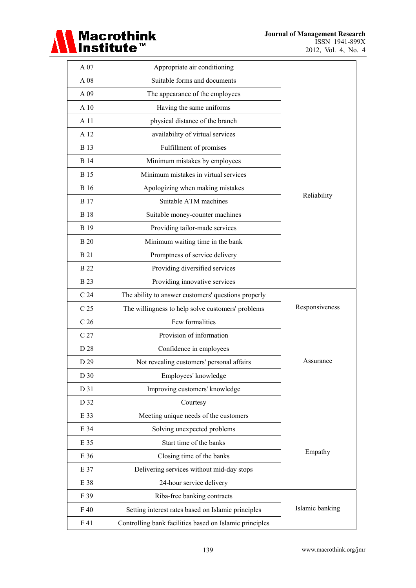

 $\overline{\phantom{0}}$ 

| A 07            | Appropriate air conditioning                            |                 |
|-----------------|---------------------------------------------------------|-----------------|
| A 08            | Suitable forms and documents                            |                 |
| A 09            | The appearance of the employees                         |                 |
| A 10            | Having the same uniforms                                |                 |
| A 11            | physical distance of the branch                         |                 |
| A 12            | availability of virtual services                        |                 |
| <b>B</b> 13     | Fulfillment of promises                                 |                 |
| <b>B</b> 14     | Minimum mistakes by employees                           |                 |
| <b>B</b> 15     | Minimum mistakes in virtual services                    |                 |
| <b>B</b> 16     | Apologizing when making mistakes                        |                 |
| B 17            | Suitable ATM machines                                   | Reliability     |
| <b>B</b> 18     | Suitable money-counter machines                         |                 |
| <b>B</b> 19     | Providing tailor-made services                          |                 |
| <b>B</b> 20     | Minimum waiting time in the bank                        |                 |
| <b>B21</b>      | Promptness of service delivery                          |                 |
| <b>B</b> 22     | Providing diversified services                          |                 |
| <b>B</b> 23     | Providing innovative services                           |                 |
| C <sub>24</sub> | The ability to answer customers' questions properly     |                 |
| C <sub>25</sub> | The willingness to help solve customers' problems       | Responsiveness  |
| C <sub>26</sub> | Few formalities                                         |                 |
| C <sub>27</sub> | Provision of information                                |                 |
| D 28            | Confidence in employees                                 |                 |
| D 29            | Not revealing customers' personal affairs               | Assurance       |
| D 30            | Employees' knowledge                                    |                 |
| D 31            | Improving customers' knowledge                          |                 |
| D 32            | Courtesy                                                |                 |
| E 33            | Meeting unique needs of the customers                   |                 |
| E 34            | Solving unexpected problems                             |                 |
| E 35            | Start time of the banks                                 |                 |
| E 36            | Closing time of the banks                               | Empathy         |
| E 37            | Delivering services without mid-day stops               |                 |
| E 38            | 24-hour service delivery                                |                 |
| F 39            | Riba-free banking contracts                             |                 |
| F 40            | Setting interest rates based on Islamic principles      | Islamic banking |
| F 41            | Controlling bank facilities based on Islamic principles |                 |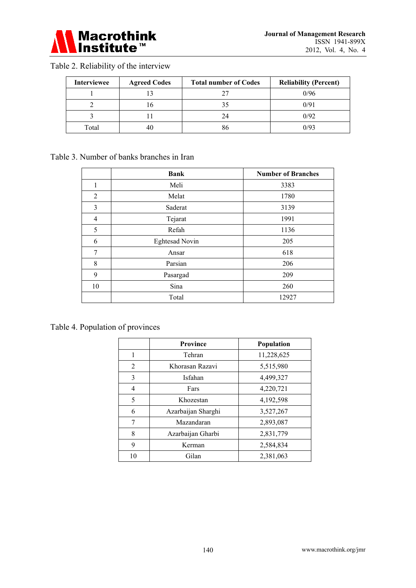

# Table 2. Reliability of the interview

| <b>Interviewee</b> | <b>Agreed Codes</b> | <b>Total number of Codes</b> | <b>Reliability (Percent)</b> |
|--------------------|---------------------|------------------------------|------------------------------|
|                    |                     |                              | 0/96                         |
|                    |                     |                              | 0/91                         |
|                    |                     | 24                           | 0/92                         |
| Total              |                     |                              | 0/93                         |

#### Table 3. Number of banks branches in Iran

|                | <b>Bank</b>           | <b>Number of Branches</b> |
|----------------|-----------------------|---------------------------|
| 1              | Meli                  | 3383                      |
| 2              | Melat                 | 1780                      |
| 3              | Saderat               | 3139                      |
| $\overline{4}$ | Tejarat               | 1991                      |
| 5              | Refah                 | 1136                      |
| 6              | <b>Eghtesad Novin</b> | 205                       |
| 7              | Ansar                 | 618                       |
| 8              | Parsian               | 206                       |
| 9              | Pasargad              | 209                       |
| 10             | Sina                  | 260                       |
|                | Total                 | 12927                     |

# Table 4. Population of provinces

|    | <b>Province</b>    | Population |
|----|--------------------|------------|
| 1  | Tehran             | 11,228,625 |
| 2  | Khorasan Razavi    | 5,515,980  |
| 3  | Isfahan            | 4,499,327  |
| 4  | Fars               | 4,220,721  |
| 5  | Khozestan          | 4,192,598  |
| 6  | Azarbaijan Sharghi | 3,527,267  |
| 7  | Mazandaran         | 2,893,087  |
| 8  | Azarbaijan Gharbi  | 2,831,779  |
| 9  | Kerman             | 2,584,834  |
| 10 | Gilan              | 2,381,063  |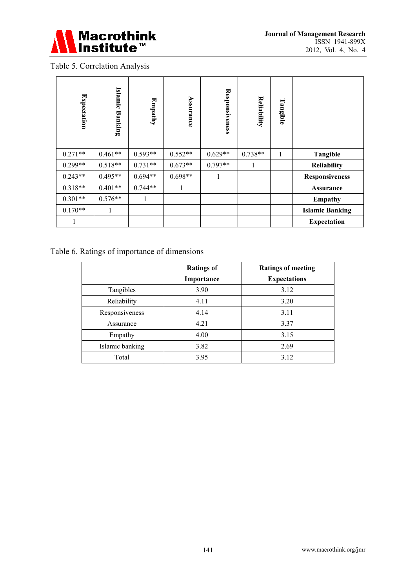

# Table 5. Correlation Analysis

| <b>Expectation</b>                                                                            | Islamic Banking | Empathy   | Assurance          | <b>Responsiveness</b> | Reliability                 | Tangible     |                        |  |
|-----------------------------------------------------------------------------------------------|-----------------|-----------|--------------------|-----------------------|-----------------------------|--------------|------------------------|--|
| $0.271**$                                                                                     | $0.461**$       | $0.593**$ | $0.552**$          | $0.629**$             | $0.738**$                   | $\mathbf{1}$ | <b>Tangible</b>        |  |
| $0.299**$                                                                                     | $0.518**$       | $0.731**$ | $0.673**$          | $0.797**$             | 1                           |              | <b>Reliability</b>     |  |
| $0.243**$                                                                                     | $0.495**$       | $0.694**$ | $0.698**$          | $\mathbf{1}$          |                             |              | <b>Responsiveness</b>  |  |
| $0.318**$                                                                                     | $0.401**$       | $0.744**$ | $\mathbf{1}$       |                       |                             |              | <b>Assurance</b>       |  |
| $0.301**$                                                                                     | $0.576**$       | 1         |                    |                       |                             |              | <b>Empathy</b>         |  |
| $0.170**$                                                                                     | 1               |           |                    |                       |                             |              | <b>Islamic Banking</b> |  |
| 1                                                                                             |                 |           |                    |                       |                             |              | <b>Expectation</b>     |  |
| able 6. Ratings of importance of dimensions<br><b>Ratings of</b><br><b>Ratings of meeting</b> |                 |           |                    |                       |                             |              |                        |  |
|                                                                                               | Tangibles       |           | Importance<br>3.90 |                       | <b>Expectations</b><br>3.12 |              |                        |  |
|                                                                                               | Reliability     |           |                    | 3.20<br>4.11          |                             |              |                        |  |
|                                                                                               | Responsiveness  |           |                    | 4.14                  |                             | 3.11         |                        |  |
|                                                                                               | Assurance       |           |                    | 4.21<br>3.37          |                             |              |                        |  |
|                                                                                               | Empathy         |           |                    | 4.00                  | 3.15                        |              |                        |  |
|                                                                                               | Islamic banking |           |                    | 3.82                  | 2.69                        |              |                        |  |
|                                                                                               | Total           |           |                    | 3.95                  | 3.12                        |              |                        |  |

# Table 6. Ratings of importance of dimensions

|                 | <b>Ratings of</b> | <b>Ratings of meeting</b> |
|-----------------|-------------------|---------------------------|
|                 | Importance        | <b>Expectations</b>       |
| Tangibles       | 3.90              | 3.12                      |
| Reliability     | 4.11              | 3.20                      |
| Responsiveness  | 4.14              | 3.11                      |
| Assurance       | 4.21              | 3.37                      |
| Empathy         | 4.00              | 3.15                      |
| Islamic banking | 3.82              | 2.69                      |
| Total           | 3.95              | 3.12                      |